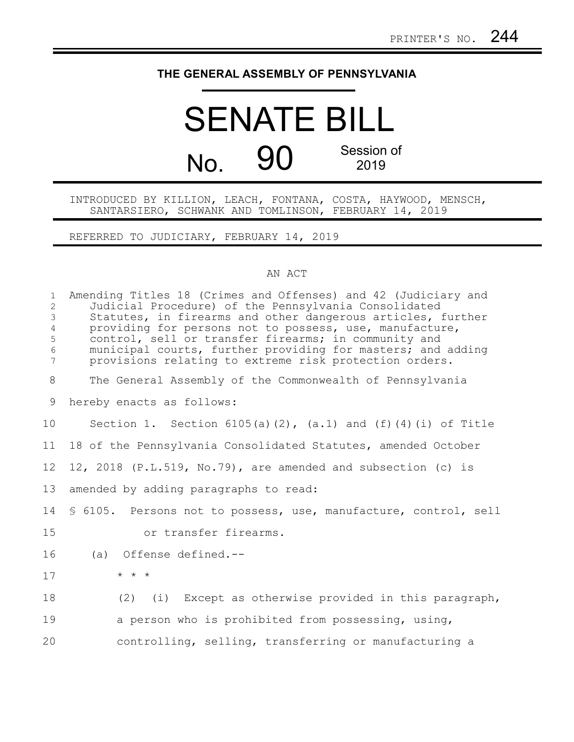## **THE GENERAL ASSEMBLY OF PENNSYLVANIA**

## SENATE BILL No. 90 Session of 2019

## INTRODUCED BY KILLION, LEACH, FONTANA, COSTA, HAYWOOD, MENSCH, SANTARSIERO, SCHWANK AND TOMLINSON, FEBRUARY 14, 2019

REFERRED TO JUDICIARY, FEBRUARY 14, 2019

## AN ACT

| $\mathbf{1}$<br>$\overline{2}$<br>$\mathfrak{Z}$<br>$\overline{4}$<br>5<br>$6\,$<br>$\overline{7}$ | Amending Titles 18 (Crimes and Offenses) and 42 (Judiciary and<br>Judicial Procedure) of the Pennsylvania Consolidated<br>Statutes, in firearms and other dangerous articles, further<br>providing for persons not to possess, use, manufacture,<br>control, sell or transfer firearms; in community and<br>municipal courts, further providing for masters; and adding<br>provisions relating to extreme risk protection orders. |
|----------------------------------------------------------------------------------------------------|-----------------------------------------------------------------------------------------------------------------------------------------------------------------------------------------------------------------------------------------------------------------------------------------------------------------------------------------------------------------------------------------------------------------------------------|
| 8                                                                                                  | The General Assembly of the Commonwealth of Pennsylvania                                                                                                                                                                                                                                                                                                                                                                          |
| 9                                                                                                  | hereby enacts as follows:                                                                                                                                                                                                                                                                                                                                                                                                         |
| 10                                                                                                 | Section 1. Section $6105(a)(2)$ , $(a.1)$ and $(f)(4)(i)$ of Title                                                                                                                                                                                                                                                                                                                                                                |
| 11                                                                                                 | 18 of the Pennsylvania Consolidated Statutes, amended October                                                                                                                                                                                                                                                                                                                                                                     |
| 12                                                                                                 | 12, 2018 (P.L.519, No.79), are amended and subsection (c) is                                                                                                                                                                                                                                                                                                                                                                      |
| 13                                                                                                 | amended by adding paragraphs to read:                                                                                                                                                                                                                                                                                                                                                                                             |
| 14                                                                                                 | \$ 6105. Persons not to possess, use, manufacture, control, sell                                                                                                                                                                                                                                                                                                                                                                  |
| 15                                                                                                 | or transfer firearms.                                                                                                                                                                                                                                                                                                                                                                                                             |
| 16                                                                                                 | (a) Offense defined.--                                                                                                                                                                                                                                                                                                                                                                                                            |
| 17                                                                                                 | $\star$ $\star$ $\star$                                                                                                                                                                                                                                                                                                                                                                                                           |
| 18                                                                                                 | (i) Except as otherwise provided in this paragraph,<br>(2)                                                                                                                                                                                                                                                                                                                                                                        |
| 19                                                                                                 | a person who is prohibited from possessing, using,                                                                                                                                                                                                                                                                                                                                                                                |
| 20                                                                                                 | controlling, selling, transferring or manufacturing a                                                                                                                                                                                                                                                                                                                                                                             |
|                                                                                                    |                                                                                                                                                                                                                                                                                                                                                                                                                                   |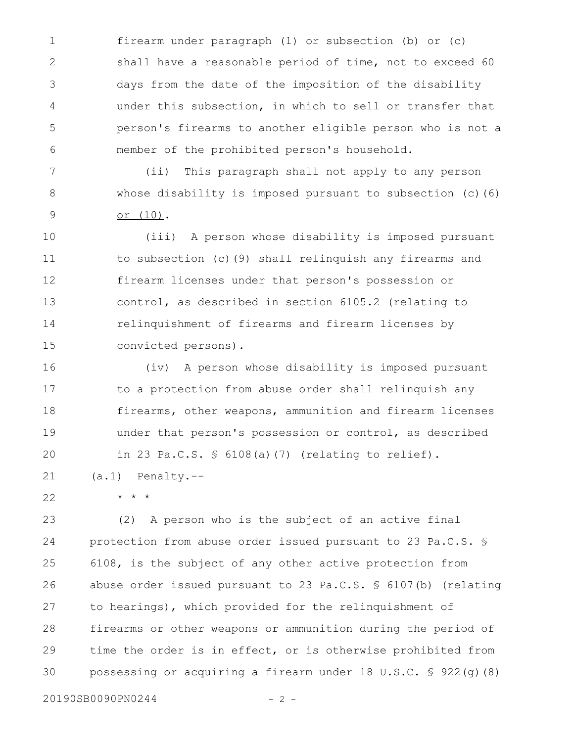firearm under paragraph (1) or subsection (b) or (c) shall have a reasonable period of time, not to exceed 60 days from the date of the imposition of the disability under this subsection, in which to sell or transfer that person's firearms to another eligible person who is not a member of the prohibited person's household. 1 2 3 4 5 6

(ii) This paragraph shall not apply to any person whose disability is imposed pursuant to subsection (c)(6) or (10). 7 8 9

(iii) A person whose disability is imposed pursuant to subsection (c)(9) shall relinquish any firearms and firearm licenses under that person's possession or control, as described in section 6105.2 (relating to relinquishment of firearms and firearm licenses by convicted persons). 10 11 12 13 14 15

(iv) A person whose disability is imposed pursuant to a protection from abuse order shall relinquish any firearms, other weapons, ammunition and firearm licenses under that person's possession or control, as described in 23 Pa.C.S. § 6108(a)(7) (relating to relief). (a.1) Penalty.-- 16 17 18 19 20 21

22

\* \* \*

(2) A person who is the subject of an active final protection from abuse order issued pursuant to 23 Pa.C.S. § 6108, is the subject of any other active protection from abuse order issued pursuant to 23 Pa.C.S. § 6107(b) (relating to hearings), which provided for the relinquishment of firearms or other weapons or ammunition during the period of time the order is in effect, or is otherwise prohibited from possessing or acquiring a firearm under 18 U.S.C. § 922(g)(8) 23 24 25 26 27 28 29 30

20190SB0090PN0244 - 2 -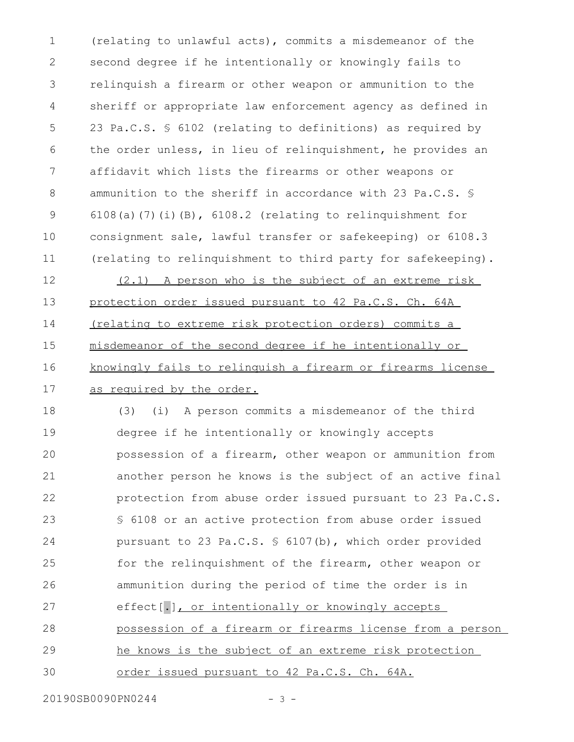(relating to unlawful acts), commits a misdemeanor of the second degree if he intentionally or knowingly fails to relinquish a firearm or other weapon or ammunition to the sheriff or appropriate law enforcement agency as defined in 23 Pa.C.S. § 6102 (relating to definitions) as required by the order unless, in lieu of relinquishment, he provides an affidavit which lists the firearms or other weapons or ammunition to the sheriff in accordance with 23 Pa.C.S. § 6108(a)(7)(i)(B), 6108.2 (relating to relinquishment for consignment sale, lawful transfer or safekeeping) or 6108.3 (relating to relinquishment to third party for safekeeping). 1 2 3 4 5 6 7 8 9 10 11

(2.1) A person who is the subject of an extreme risk protection order issued pursuant to 42 Pa.C.S. Ch. 64A (relating to extreme risk protection orders) commits a misdemeanor of the second degree if he intentionally or knowingly fails to relinquish a firearm or firearms license as required by the order. 12 13 14 15 16 17

(3) (i) A person commits a misdemeanor of the third degree if he intentionally or knowingly accepts possession of a firearm, other weapon or ammunition from another person he knows is the subject of an active final protection from abuse order issued pursuant to 23 Pa.C.S. § 6108 or an active protection from abuse order issued pursuant to 23 Pa.C.S. § 6107(b), which order provided for the relinquishment of the firearm, other weapon or ammunition during the period of time the order is in effect[.], or intentionally or knowingly accepts possession of a firearm or firearms license from a person he knows is the subject of an extreme risk protection order issued pursuant to 42 Pa.C.S. Ch. 64A. 18 19 20 21 22 23 24 25 26 27 28 29 30

20190SB0090PN0244 - 3 -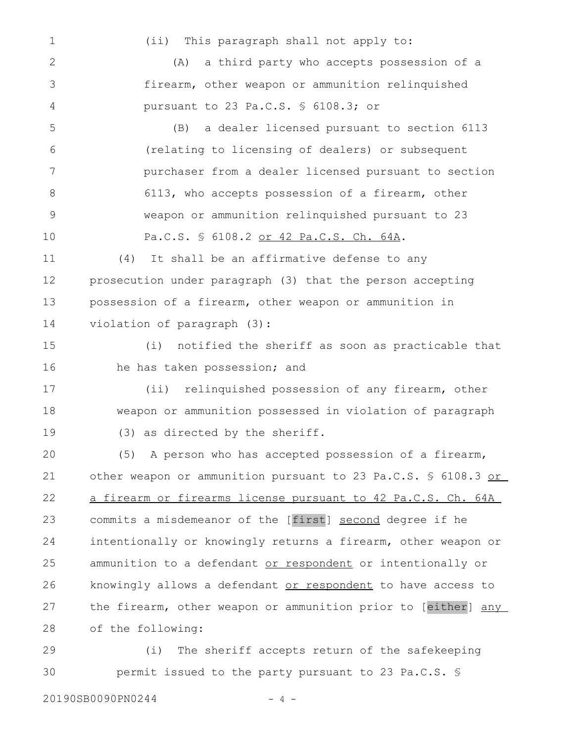(ii) This paragraph shall not apply to: (A) a third party who accepts possession of a firearm, other weapon or ammunition relinquished pursuant to 23 Pa.C.S. § 6108.3; or (B) a dealer licensed pursuant to section 6113 (relating to licensing of dealers) or subsequent purchaser from a dealer licensed pursuant to section 6113, who accepts possession of a firearm, other weapon or ammunition relinquished pursuant to 23 Pa.C.S. § 6108.2 or 42 Pa.C.S. Ch. 64A. (4) It shall be an affirmative defense to any prosecution under paragraph (3) that the person accepting possession of a firearm, other weapon or ammunition in violation of paragraph (3): (i) notified the sheriff as soon as practicable that he has taken possession; and (ii) relinquished possession of any firearm, other weapon or ammunition possessed in violation of paragraph (3) as directed by the sheriff. (5) A person who has accepted possession of a firearm, other weapon or ammunition pursuant to 23 Pa.C.S. § 6108.3 or a firearm or firearms license pursuant to 42 Pa.C.S. Ch. 64A commits a misdemeanor of the [first] second degree if he intentionally or knowingly returns a firearm, other weapon or ammunition to a defendant or respondent or intentionally or knowingly allows a defendant or respondent to have access to the firearm, other weapon or ammunition prior to [either] any of the following: (i) The sheriff accepts return of the safekeeping 1 2 3 4 5 6 7 8 9 10 11 12 13 14 15 16 17 18 19 20 21 22 23 24 25 26 27 28 29

permit issued to the party pursuant to 23 Pa.C.S. § 30

20190SB0090PN0244 - 4 -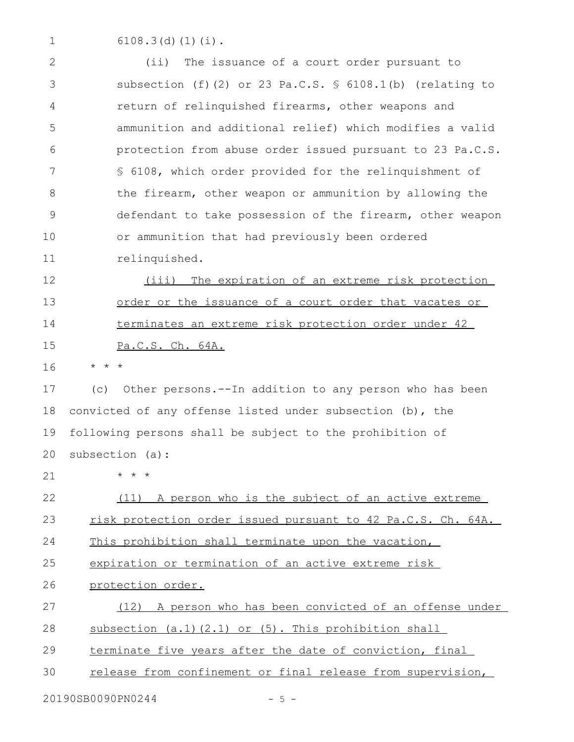6108.3(d)(1)(i). 1

(ii) The issuance of a court order pursuant to subsection (f)(2) or 23 Pa.C.S. § 6108.1(b) (relating to return of relinquished firearms, other weapons and ammunition and additional relief) which modifies a valid protection from abuse order issued pursuant to 23 Pa.C.S. § 6108, which order provided for the relinquishment of the firearm, other weapon or ammunition by allowing the defendant to take possession of the firearm, other weapon or ammunition that had previously been ordered relinquished. (iii) The expiration of an extreme risk protection 2 3 4 5 6 7 8 9 10 11 12

order or the issuance of a court order that vacates or terminates an extreme risk protection order under 42 Pa.C.S. Ch. 64A. 13 14 15

\* \* \* 16

(c) Other persons.--In addition to any person who has been convicted of any offense listed under subsection (b), the following persons shall be subject to the prohibition of subsection (a): 17 18 19 20

21

\* \* \*

(11) A person who is the subject of an active extreme risk protection order issued pursuant to 42 Pa.C.S. Ch. 64A. 22 23

This prohibition shall terminate upon the vacation, 24

expiration or termination of an active extreme risk 25

protection order. 26

(12) A person who has been convicted of an offense under subsection (a.1)(2.1) or (5). This prohibition shall 27 28

terminate five years after the date of conviction, final 29

release from confinement or final release from supervision, 30

20190SB0090PN0244 - 5 -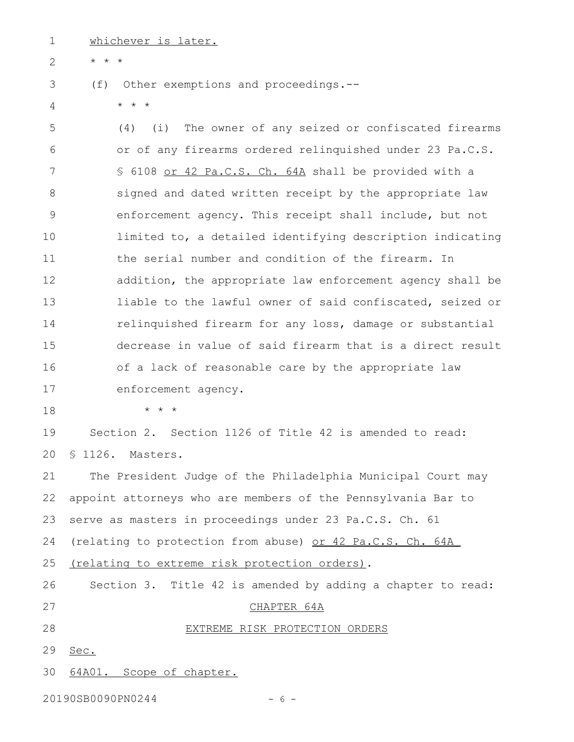whichever is later. 1

\* \* \* 2

- (f) Other exemptions and proceedings.-- 3
- \* \* \* 4

(4) (i) The owner of any seized or confiscated firearms or of any firearms ordered relinquished under 23 Pa.C.S. § 6108 or 42 Pa.C.S. Ch. 64A shall be provided with a signed and dated written receipt by the appropriate law enforcement agency. This receipt shall include, but not limited to, a detailed identifying description indicating the serial number and condition of the firearm. In addition, the appropriate law enforcement agency shall be liable to the lawful owner of said confiscated, seized or relinquished firearm for any loss, damage or substantial decrease in value of said firearm that is a direct result of a lack of reasonable care by the appropriate law enforcement agency. 5 6 7 8 9 10 11 12 13 14 15 16 17

18

\* \* \*

Section 2. Section 1126 of Title 42 is amended to read: § 1126. Masters. 19 20

The President Judge of the Philadelphia Municipal Court may appoint attorneys who are members of the Pennsylvania Bar to serve as masters in proceedings under 23 Pa.C.S. Ch. 61 (relating to protection from abuse) or 42 Pa.C.S. Ch. 64A (relating to extreme risk protection orders). Section 3. Title 42 is amended by adding a chapter to read: CHAPTER 64A EXTREME RISK PROTECTION ORDERS Sec. 64A01. Scope of chapter. 21 22 23 24 25 26 27 28 29 30

20190SB0090PN0244 - 6 -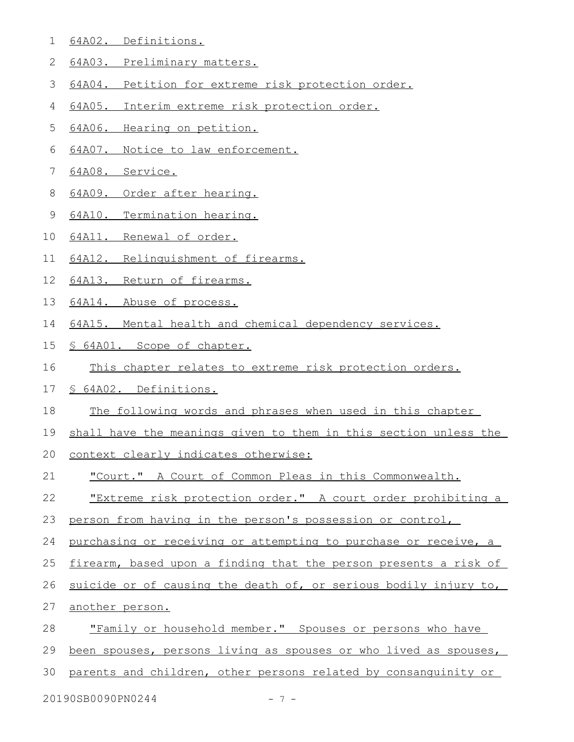- 64A02. Definitions. 1
- 64A03. Preliminary matters. 2
- 64A04. Petition for extreme risk protection order. 3
- 64A05. Interim extreme risk protection order. 4
- 64A06. Hearing on petition. 5
- 64A07. Notice to law enforcement. 6
- 64A08. Service. 7
- 64A09. Order after hearing. 8
- 64A10. Termination hearing. 9
- 64A11. Renewal of order. 10
- 64A12. Relinquishment of firearms. 11
- 64A13. Return of firearms. 12
- 64A14. Abuse of process. 13
- 64A15. Mental health and chemical dependency services. 14
- § 64A01. Scope of chapter. 15
- This chapter relates to extreme risk protection orders. 16
- § 64A02. Definitions. 17
- The following words and phrases when used in this chapter 18
- shall have the meanings given to them in this section unless the 19
- context clearly indicates otherwise: 20
- "Court." A Court of Common Pleas in this Commonwealth. 21
- "Extreme risk protection order." A court order prohibiting a 22
- person from having in the person's possession or control, 23
- purchasing or receiving or attempting to purchase or receive, a 24
- firearm, based upon a finding that the person presents a risk of 25
- suicide or of causing the death of, or serious bodily injury to, 26
- another person. 27
- "Family or household member." Spouses or persons who have 28
- been spouses, persons living as spouses or who lived as spouses, 29
- parents and children, other persons related by consanguinity or 30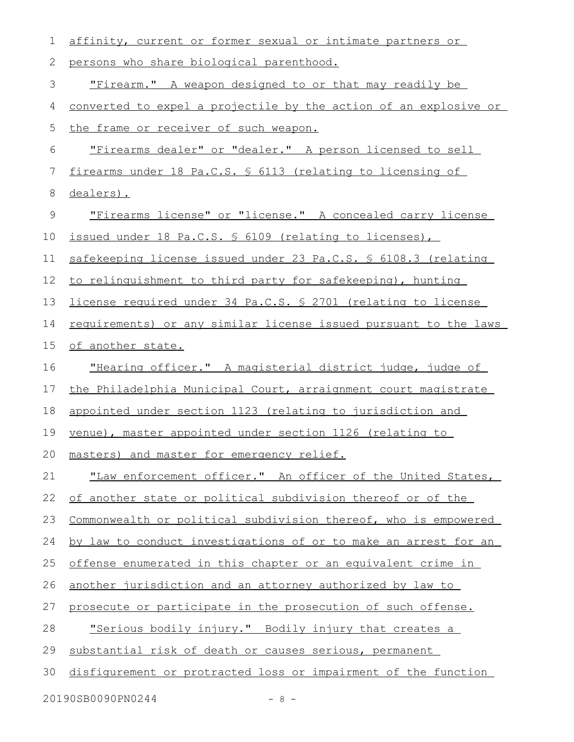| 1  | affinity, current or former sexual or intimate partners or              |
|----|-------------------------------------------------------------------------|
| 2  | persons who share biological parenthood.                                |
| 3  | "Firearm." A weapon designed to or that may readily be                  |
| 4  | <u>converted to expel a projectile by the action of an explosive or</u> |
| 5  | the frame or receiver of such weapon.                                   |
| 6  | "Firearms dealer" or "dealer." A person licensed to sell                |
| 7  | firearms under 18 Pa.C.S. § 6113 (relating to licensing of              |
| 8  | dealers).                                                               |
| 9  | "Firearms license" or "license." A concealed carry license              |
| 10 | issued under 18 Pa.C.S. § 6109 (relating to licenses),                  |
| 11 | safekeeping license issued under 23 Pa.C.S. § 6108.3 (relating          |
| 12 | to relinguishment to third party for safekeeping), hunting              |
| 13 | license required under 34 Pa.C.S. \$ 2701 (relating to license          |
| 14 | requirements) or any similar license issued pursuant to the laws        |
| 15 | of another state.                                                       |
| 16 | "Hearing officer." A magisterial district judge, judge of               |
| 17 | the Philadelphia Municipal Court, arraignment court magistrate          |
| 18 | appointed under section 1123 (relating to jurisdiction and              |
| 19 | venue), master appointed under section 1126 (relating to                |
|    | 20 masters) and master for emergency relief.                            |
| 21 | "Law enforcement officer." An officer of the United States,             |
| 22 | of another state or political subdivision thereof or of the             |
| 23 | Commonwealth or political subdivision thereof, who is empowered         |
| 24 | by law to conduct investigations of or to make an arrest for an         |
| 25 | offense enumerated in this chapter or an equivalent crime in            |
| 26 | another jurisdiction and an attorney authorized by law to               |
| 27 | prosecute or participate in the prosecution of such offense.            |
| 28 | <u>"Serious bodily injury." Bodily injury that creates a</u>            |
| 29 | substantial risk of death or causes serious, permanent                  |
| 30 | disfigurement or protracted loss or impairment of the function          |
|    | 20190SB0090PN0244<br>$-8 -$                                             |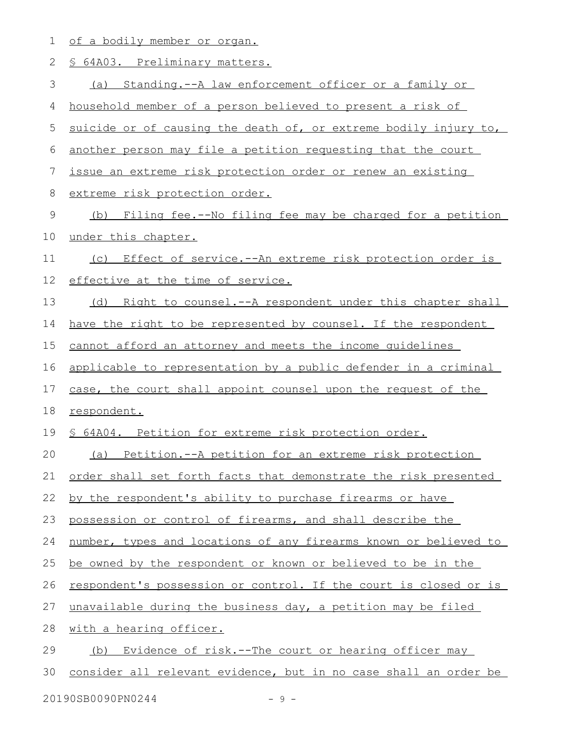|  |  | of a bodily member or organ. |  |
|--|--|------------------------------|--|
|  |  |                              |  |

| $\mathbf{2}$ | § 64A03. Preliminary matters.                                    |
|--------------|------------------------------------------------------------------|
| 3            | (a) Standing.--A law enforcement officer or a family or          |
| 4            | household member of a person believed to present a risk of       |
| 5            | suicide or of causing the death of, or extreme bodily injury to, |
| 6            | another person may file a petition requesting that the court     |
| 7            | issue an extreme risk protection order or renew an existing      |
| $\,8\,$      | extreme risk protection order.                                   |
| $\mathsf 9$  | (b) Filing fee.--No filing fee may be charged for a petition     |
| 10           | under this chapter.                                              |
| 11           | (c) Effect of service.--An extreme risk protection order is      |
| 12           | effective at the time of service.                                |
| 13           | Right to counsel.--A respondent under this chapter shall<br>(d)  |
| 14           | have the right to be represented by counsel. If the respondent   |
| 15           | cannot afford an attorney and meets the income quidelines        |
| 16           | applicable to representation by a public defender in a criminal  |
| 17           | case, the court shall appoint counsel upon the request of the    |
| 18           | respondent.                                                      |
| 19           | \$ 64A04. Petition for extreme risk protection order.            |
| 20           | (a) Petition.--A petition for an extreme risk protection         |
| 21           | order shall set forth facts that demonstrate the risk presented  |
| 22           | by the respondent's ability to purchase firearms or have         |
| 23           | possession or control of firearms, and shall describe the        |
| 24           | number, types and locations of any firearms known or believed to |
| 25           | be owned by the respondent or known or believed to be in the     |
| 26           | respondent's possession or control. If the court is closed or is |
| 27           | unavailable during the business day, a petition may be filed     |
| 28           | with a hearing officer.                                          |
| 29           | Evidence of risk.--The court or hearing officer may<br>(b)       |
| 30           | consider all relevant evidence, but in no case shall an order be |
|              |                                                                  |

20190SB0090PN0244 - 9 -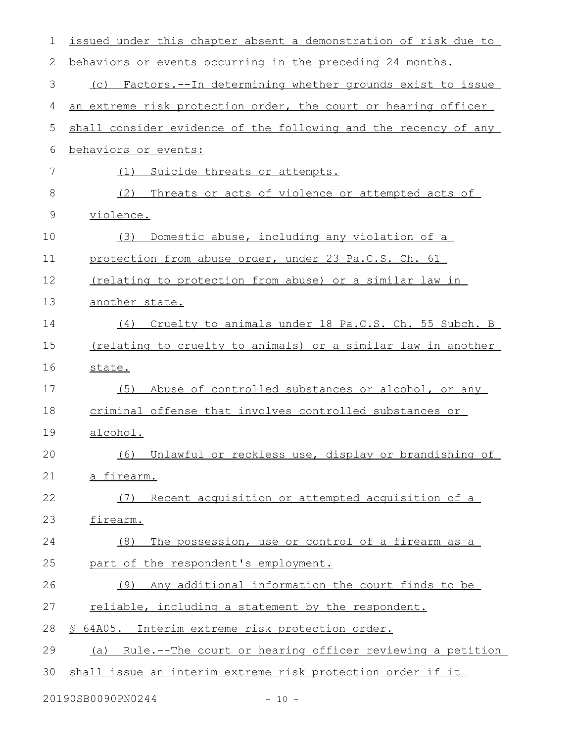| 1           | issued under this chapter absent a demonstration of risk due to |
|-------------|-----------------------------------------------------------------|
| 2           | behaviors or events occurring in the preceding 24 months.       |
| 3           | (c) Factors.--In determining whether grounds exist to issue     |
| 4           | an extreme risk protection order, the court or hearing officer  |
| 5           | shall consider evidence of the following and the recency of any |
| 6           | behaviors or events:                                            |
| 7           | Suicide threats or attempts.<br>(1)                             |
| 8           | (2)<br>Threats or acts of violence or attempted acts of         |
| $\mathsf 9$ | violence.                                                       |
| 10          | Domestic abuse, including any violation of a<br>(3)             |
| 11          | protection from abuse order, under 23 Pa.C.S. Ch. 61            |
| 12          | (relating to protection from abuse) or a similar law in         |
| 13          | another state.                                                  |
| 14          | Cruelty to animals under 18 Pa.C.S. Ch. 55 Subch. B<br>(4)      |
| 15          | (relating to cruelty to animals) or a similar law in another    |
| 16          | state.                                                          |
| 17          | (5)<br>Abuse of controlled substances or alcohol, or any        |
| 18          | criminal offense that involves controlled substances or         |
| 19          | alcohol.                                                        |
| 20          | (6) Unlawful or reckless use, display or brandishing of         |
| 21          | a firearm.                                                      |
| 22          | Recent acquisition or attempted acquisition of a<br>(7)         |
| 23          | firearm.                                                        |
| 24          | The possession, use or control of a firearm as a<br>(8)         |
| 25          | part of the respondent's employment.                            |
| 26          | Any additional information the court finds to be<br>(9)         |
| 27          | reliable, including a statement by the respondent.              |
| 28          | § 64A05. Interim extreme risk protection order.                 |
| 29          | (a) Rule.--The court or hearing officer reviewing a petition    |
| 30          | shall issue an interim extreme risk protection order if it      |
|             |                                                                 |

20190SB0090PN0244 - 10 -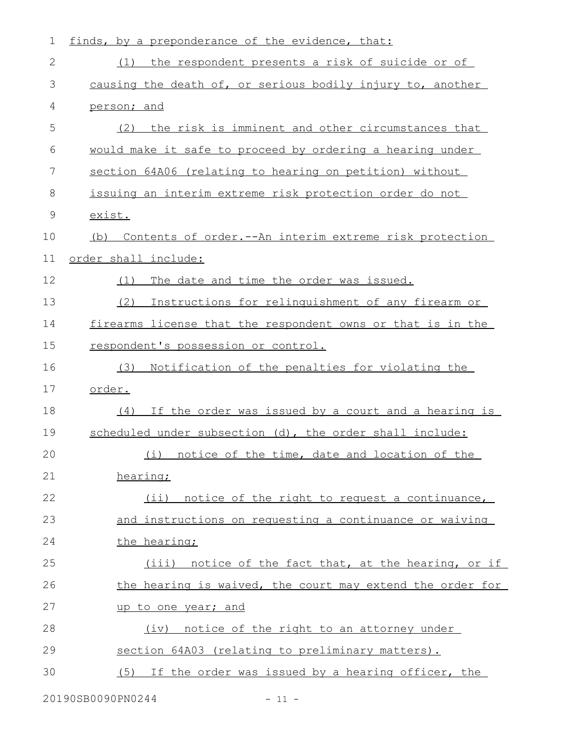| $\mathbf 1$   | finds, by a preponderance of the evidence, that:            |
|---------------|-------------------------------------------------------------|
| 2             | (1) the respondent presents a risk of suicide or of         |
| 3             | causing the death of, or serious bodily injury to, another  |
| 4             | person; and                                                 |
| 5             | the risk is imminent and other circumstances that<br>(2)    |
| 6             | would make it safe to proceed by ordering a hearing under   |
| 7             | section 64A06 (relating to hearing on petition) without     |
| 8             | issuing an interim extreme risk protection order do not     |
| $\mathcal{G}$ | exist.                                                      |
| 10            | (b) Contents of order.--An interim extreme risk protection  |
| 11            | order shall include:                                        |
| 12            | The date and time the order was issued.<br>(1)              |
| 13            | Instructions for relinquishment of any firearm or<br>(2)    |
| 14            | firearms license that the respondent owns or that is in the |
| 15            | respondent's possession or control.                         |
| 16            | Notification of the penalties for violating the<br>(3)      |
| 17            | order.                                                      |
| 18            | If the order was issued by a court and a hearing is<br>(4)  |
| 19            | scheduled under subsection (d), the order shall include:    |
| 20            | (i) notice of the time, date and location of the            |
| 21            | hearing;                                                    |
| 22            | (ii) notice of the right to request a continuance,          |
| 23            | and instructions on requesting a continuance or waiving     |
| 24            | the hearing;                                                |
| 25            | (iii) notice of the fact that, at the hearing, or if        |
| 26            | the hearing is waived, the court may extend the order for   |
| 27            | up to one year; and                                         |
| 28            | (iv) notice of the right to an attorney under               |
| 29            | section 64A03 (relating to preliminary matters).            |
| 30            | If the order was issued by a hearing officer, the<br>(5)    |
|               |                                                             |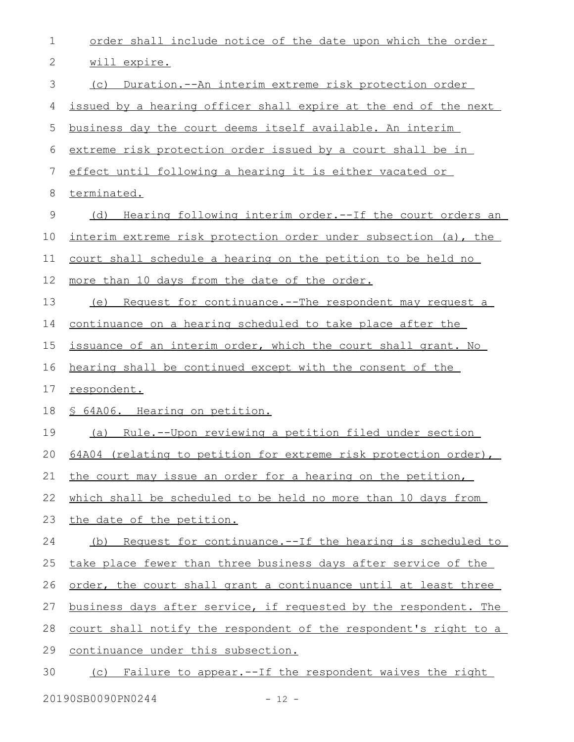| order shall include notice of the date upon which the order            |
|------------------------------------------------------------------------|
| will expire.                                                           |
| (c) Duration.--An interim extreme risk protection order                |
| issued by a hearing officer shall expire at the end of the next        |
| business day the court deems itself available. An interim              |
| extreme risk protection order issued by a court shall be in            |
| effect until following a hearing it is either vacated or               |
| terminated.                                                            |
| Hearing following interim order.--If the court orders an<br>(d)        |
| interim extreme risk protection order under subsection (a), the        |
| court shall schedule a hearing on the petition to be held no           |
| more than 10 days from the date of the order.                          |
| (e) Request for continuance.--The respondent may request a             |
| continuance on a hearing scheduled to take place after the             |
| issuance of an interim order, which the court shall grant. No          |
| hearing shall be continued except with the consent of the              |
| respondent.                                                            |
| § 64A06. Hearing on petition.                                          |
| (a) Rule.--Upon reviewing a petition filed under section               |
| 64A04 (relating to petition for extreme risk protection order),        |
| the court may issue an order for a hearing on the petition,            |
| which shall be scheduled to be held no more than 10 days from          |
| the date of the petition.                                              |
| <u>Request for continuance.--If the hearing is scheduled to</u><br>(b) |
| take place fewer than three business days after service of the         |
| order, the court shall grant a continuance until at least three        |
| business days after service, if requested by the respondent. The       |
| court shall notify the respondent of the respondent's right to a       |
| continuance under this subsection.                                     |
| Failure to appear.--If the respondent waives the right<br>(C)          |
|                                                                        |

20190SB0090PN0244 - 12 -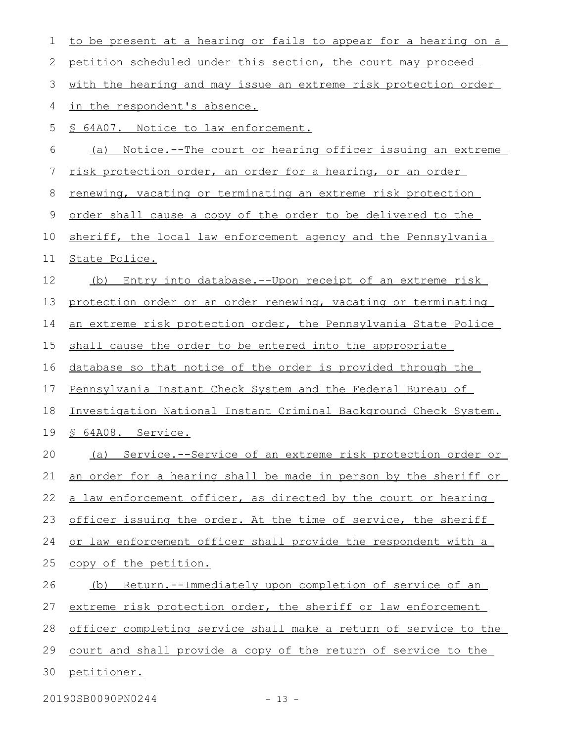| 1           | to be present at a hearing or fails to appear for a hearing on a |
|-------------|------------------------------------------------------------------|
| 2           | petition scheduled under this section, the court may proceed     |
| 3           | with the hearing and may issue an extreme risk protection order  |
| 4           | in the respondent's absence.                                     |
| 5           | § 64A07. Notice to law enforcement.                              |
| 6           | Notice.--The court or hearing officer issuing an extreme<br>(a)  |
| 7           | risk protection order, an order for a hearing, or an order       |
| 8           | renewing, vacating or terminating an extreme risk protection     |
| $\mathsf 9$ | order shall cause a copy of the order to be delivered to the     |
| 10          | sheriff, the local law enforcement agency and the Pennsylvania   |
| 11          | State Police.                                                    |
| 12          | Entry into database.--Upon receipt of an extreme risk<br>(b)     |
| 13          | protection order or an order renewing, vacating or terminating   |
| 14          | an extreme risk protection order, the Pennsylvania State Police  |
| 15          | shall cause the order to be entered into the appropriate         |
| 16          | database so that notice of the order is provided through the     |
| 17          | Pennsylvania Instant Check System and the Federal Bureau of      |
| 18          | Investigation National Instant Criminal Background Check System. |
| 19          | § 64A08. Service.                                                |
| 20          | (a) Service.--Service of an extreme risk protection order or     |
| 21          | an order for a hearing shall be made in person by the sheriff or |
| 22          | a law enforcement officer, as directed by the court or hearing   |
| 23          | officer issuing the order. At the time of service, the sheriff   |
| 24          | or law enforcement officer shall provide the respondent with a   |
| 25          | copy of the petition.                                            |
| 26          | Return.--Immediately upon completion of service of an<br>(b)     |
| 27          | extreme risk protection order, the sheriff or law enforcement    |
| 28          | officer completing service shall make a return of service to the |
| 29          | court and shall provide a copy of the return of service to the   |
| 30          | petitioner.                                                      |
|             | 20190SB0090PN0244<br>$-13 -$                                     |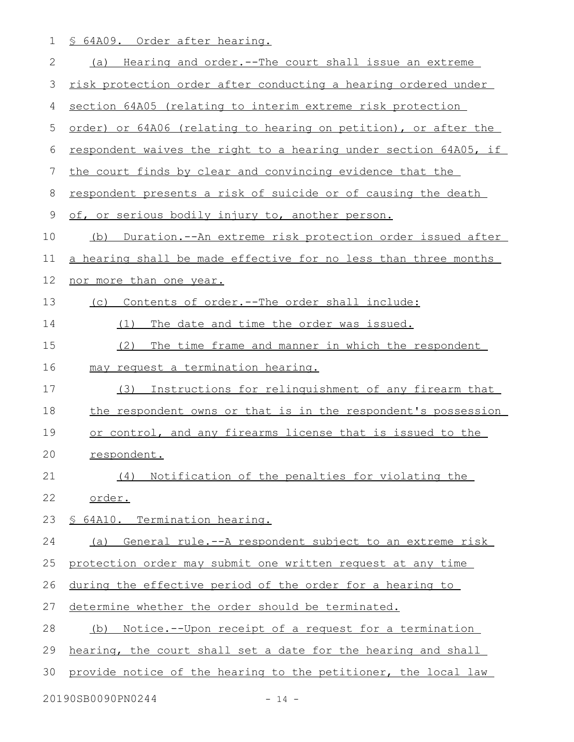1 § 64A09. Order after hearing.

| $\mathbf{2}$ | (a) Hearing and order.--The court shall issue an extreme           |
|--------------|--------------------------------------------------------------------|
| 3            | risk protection order after conducting a hearing ordered under     |
| 4            | section 64A05 (relating to interim extreme risk protection         |
| 5            | order) or 64A06 (relating to hearing on petition), or after the    |
| 6            | respondent waives the right to a hearing under section 64A05, if   |
| 7            | the court finds by clear and convincing evidence that the          |
| 8            | respondent presents a risk of suicide or of causing the death      |
| 9            | of, or serious bodily injury to, another person.                   |
| 10           | (b) Duration.--An extreme risk protection order issued after       |
| 11           | a hearing shall be made effective for no less than three months    |
| 12           | nor more than one year.                                            |
| 13           | Contents of order.--The order shall include:<br>(C)                |
| 14           | The date and time the order was issued.<br>(1)                     |
| 15           | (2)<br>The time frame and manner in which the respondent           |
| 16           | may request a termination hearing.                                 |
| 17           | Instructions for relinquishment of any firearm that<br>(3)         |
| 18           | the respondent owns or that is in the respondent's possession      |
| 19           | or control, and any firearms license that is issued to the         |
| 20           | respondent.                                                        |
| 21           | (4) Notification of the penalties for violating the                |
| 22           | order.                                                             |
| 23           | § 64A10. Termination hearing.                                      |
| 24           | General rule.--A respondent subject to an extreme risk<br>(a)      |
| 25           | protection order may submit one written request at any time        |
| 26           | during the effective period of the order for a hearing to          |
| 27           | determine whether the order should be terminated.                  |
| 28           | <u>Notice.--Upon receipt of a request for a termination</u><br>(b) |
| 29           | hearing, the court shall set a date for the hearing and shall      |
| 30           | provide notice of the hearing to the petitioner, the local law     |
|              |                                                                    |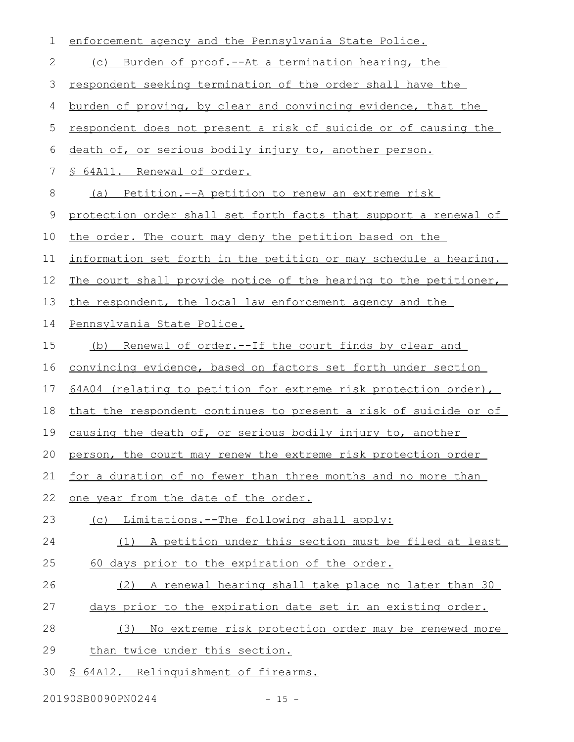| $\mathbf 1$ | enforcement agency and the Pennsylvania State Police.            |
|-------------|------------------------------------------------------------------|
| 2           | Burden of proof.--At a termination hearing, the<br>(C)           |
| 3           | respondent seeking termination of the order shall have the       |
| 4           | burden of proving, by clear and convincing evidence, that the    |
| 5           | respondent does not present a risk of suicide or of causing the  |
| 6           | death of, or serious bodily injury to, another person.           |
| 7           | § 64A11. Renewal of order.                                       |
| 8           | (a) Petition.--A petition to renew an extreme risk               |
| 9           | protection order shall set forth facts that support a renewal of |
| 10          | the order. The court may deny the petition based on the          |
| 11          | information set forth in the petition or may schedule a hearing. |
| 12          | The court shall provide notice of the hearing to the petitioner, |
| 13          | the respondent, the local law enforcement agency and the         |
| 14          | Pennsylvania State Police.                                       |
| 15          | (b) Renewal of order.--If the court finds by clear and           |
| 16          | convincing evidence, based on factors set forth under section    |
| 17          | 64A04 (relating to petition for extreme risk protection order),  |
| 18          | that the respondent continues to present a risk of suicide or of |
| 19          | causing the death of, or serious bodily injury to, another       |
|             | 20 person, the court may renew the extreme risk protection order |
| 21          | for a duration of no fewer than three months and no more than    |
| 22          | one year from the date of the order.                             |
| 23          | (c) Limitations.--The following shall apply:                     |
| 24          | (1) A petition under this section must be filed at least         |
| 25          | 60 days prior to the expiration of the order.                    |
| 26          | (2) A renewal hearing shall take place no later than 30          |
| 27          | days prior to the expiration date set in an existing order.      |
| 28          | No extreme risk protection order may be renewed more<br>(3)      |
| 29          | than twice under this section.                                   |
| 30          | 64A12. Relinquishment of firearms.<br>$\mathcal{P}$              |

20190SB0090PN0244 - 15 -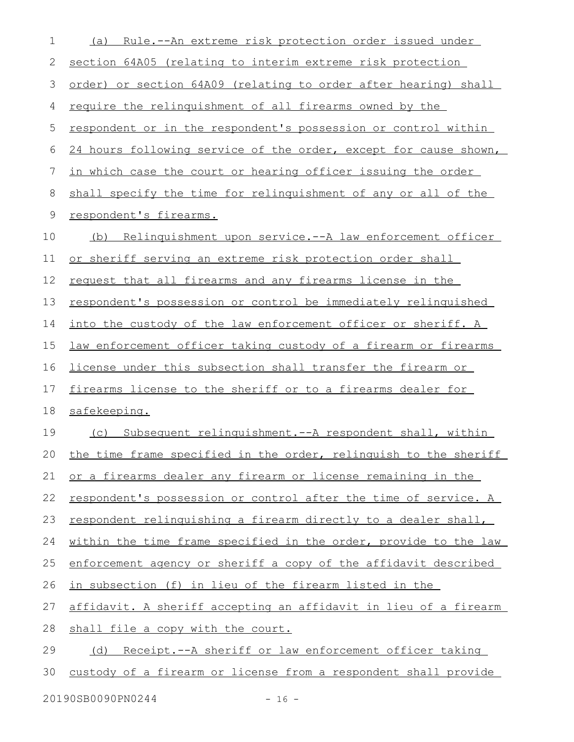| 1           | Rule.--An extreme risk protection order issued under<br>(a)            |
|-------------|------------------------------------------------------------------------|
| 2           | section 64A05 (relating to interim extreme risk protection             |
| 3           | order) or section 64A09 (relating to order after hearing) shall        |
| 4           | require the relinquishment of all firearms owned by the                |
| 5           | respondent or in the respondent's possession or control within         |
| 6           | 24 hours following service of the order, except for cause shown,       |
| 7           | in which case the court or hearing officer issuing the order           |
| 8           | shall specify the time for relinguishment of any or all of the         |
| $\mathsf 9$ | respondent's firearms.                                                 |
| 10          | (b) Relinquishment upon service.--A law enforcement officer            |
| 11          | or sheriff serving an extreme risk protection order shall              |
| 12          | <u>request that all firearms and any firearms license in the</u>       |
| 13          | respondent's possession or control be immediately relinquished         |
| 14          | into the custody of the law enforcement officer or sheriff. A          |
| 15          | <u>law enforcement officer taking custody of a firearm or firearms</u> |
| 16          | license under this subsection shall transfer the firearm or            |
| 17          | firearms license to the sheriff or to a firearms dealer for            |
| 18          | safekeeping.                                                           |
| 19          | (c) Subsequent relinquishment.--A respondent shall, within             |
| 20          | the time frame specified in the order, relinguish to the sheriff       |
| 21          | or a firearms dealer any firearm or license remaining in the           |
| 22          | respondent's possession or control after the time of service. A        |
| 23          | respondent relinquishing a firearm directly to a dealer shall,         |
| 24          | within the time frame specified in the order, provide to the law       |
| 25          | enforcement agency or sheriff a copy of the affidavit described        |
| 26          | in subsection (f) in lieu of the firearm listed in the                 |
| 27          | affidavit. A sheriff accepting an affidavit in lieu of a firearm       |
| 28          | shall file a copy with the court.                                      |
| 29          | Receipt.--A sheriff or law enforcement officer taking<br>(d)           |
| 30          | custody of a firearm or license from a respondent shall provide        |
|             |                                                                        |

20190SB0090PN0244 - 16 -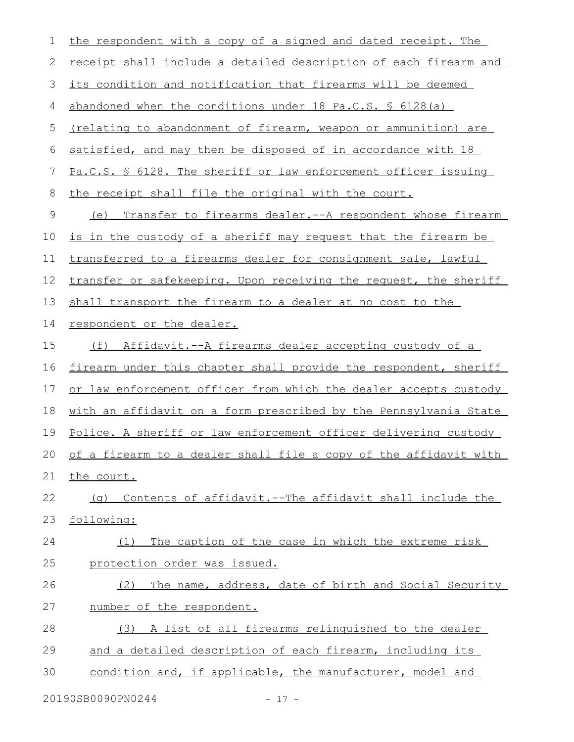| 1            | the respondent with a copy of a signed and dated receipt. The         |
|--------------|-----------------------------------------------------------------------|
| $\mathbf{2}$ | receipt shall include a detailed description of each firearm and      |
| 3            | its condition and notification that firearms will be deemed           |
| 4            | abandoned when the conditions under 18 Pa.C.S. \$ 6128(a)             |
| 5            | <u>(relating to abandonment of firearm, weapon or ammunition) are</u> |
| 6            | satisfied, and may then be disposed of in accordance with 18          |
| 7            | Pa.C.S. § 6128. The sheriff or law enforcement officer issuing        |
| 8            | the receipt shall file the original with the court.                   |
| $\mathsf 9$  | (e) Transfer to firearms dealer.--A respondent whose firearm          |
| 10           | is in the custody of a sheriff may request that the firearm be        |
| 11           | transferred to a firearms dealer for consignment sale, lawful         |
| 12           | transfer or safekeeping. Upon receiving the request, the sheriff      |
| 13           | shall transport the firearm to a dealer at no cost to the             |
| 14           | respondent or the dealer.                                             |
| 15           | Affidavit.--A firearms dealer accepting custody of a<br>(f)           |
| 16           | firearm under this chapter shall provide the respondent, sheriff      |
| 17           | or law enforcement officer from which the dealer accepts custody      |
| 18           | with an affidavit on a form prescribed by the Pennsylvania State      |
| 19           | Police. A sheriff or law enforcement officer delivering custody       |
| 20           | of a firearm to a dealer shall file a copy of the affidavit with      |
| 21           | the court.                                                            |
| 22           | (g) Contents of affidavit.--The affidavit shall include the           |
| 23           | following:                                                            |
| 24           | The caption of the case in which the extreme risk<br>(1)              |
| 25           | protection order was issued.                                          |
| 26           | The name, address, date of birth and Social Security<br>(2)           |
| 27           | number of the respondent.                                             |
| 28           | (3) A list of all firearms relinguished to the dealer                 |
| 29           | and a detailed description of each firearm, including its             |
| 30           | condition and, if applicable, the manufacturer, model and             |

20190SB0090PN0244 - 17 -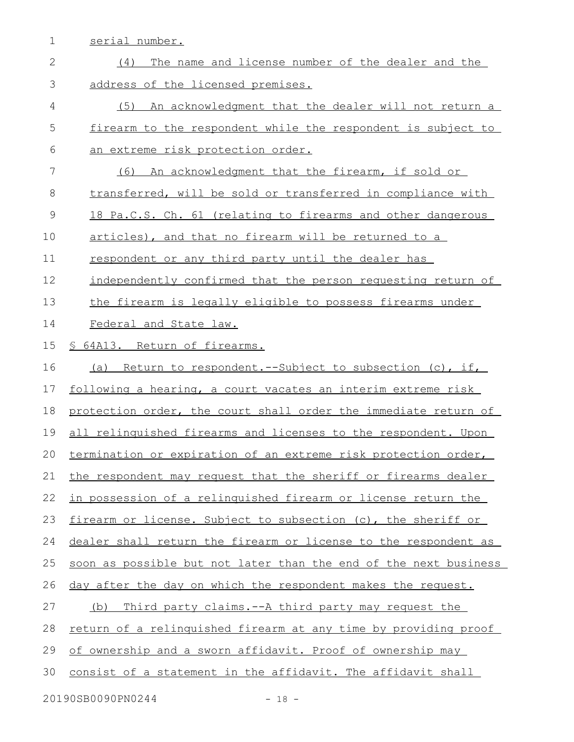1 serial number.

| $\mathbf{2}$ | The name and license number of the dealer and the<br>(4)               |
|--------------|------------------------------------------------------------------------|
| 3            | address of the licensed premises.                                      |
| 4            | (5) An acknowledgment that the dealer will not return a                |
| 5            | firearm to the respondent while the respondent is subject to           |
| 6            | <u>an extreme risk protection order.</u>                               |
| 7            | An acknowledgment that the firearm, if sold or<br>(6)                  |
| 8            | transferred, will be sold or transferred in compliance with            |
| 9            | 18 Pa.C.S. Ch. 61 (relating to firearms and other dangerous            |
| 10           | articles), and that no firearm will be returned to a                   |
| 11           | respondent or any third party until the dealer has                     |
| 12           | independently confirmed that the person requesting return of           |
| 13           | the firearm is legally eligible to possess firearms under              |
| 14           | Federal and State law.                                                 |
| 15           | § 64A13. Return of firearms.                                           |
| 16           | Return to respondent.--Subject to subsection (c), if,<br>(a)           |
| 17           | following a hearing, a court vacates an interim extreme risk           |
| 18           | protection order, the court shall order the immediate return of        |
| 19           | all relinguished firearms and licenses to the respondent. Upon         |
| 20           | termination or expiration of an extreme risk protection order,         |
| 21           | the respondent may request that the sheriff or firearms dealer         |
| 22           | in possession of a relinquished firearm or license return the          |
| 23           | firearm or license. Subject to subsection (c), the sheriff or          |
| 24           | dealer shall return the firearm or license to the respondent as        |
| 25           | soon as possible but not later than the end of the next business       |
| 26           | day after the day on which the respondent makes the request.           |
| 27           | Third party claims. -- A third party may request the<br>(b)            |
| 28           | <u>return of a relinguished firearm at any time by providing proof</u> |
| 29           | of ownership and a sworn affidavit. Proof of ownership may             |
| 30           |                                                                        |
|              | consist of a statement in the affidavit. The affidavit shall           |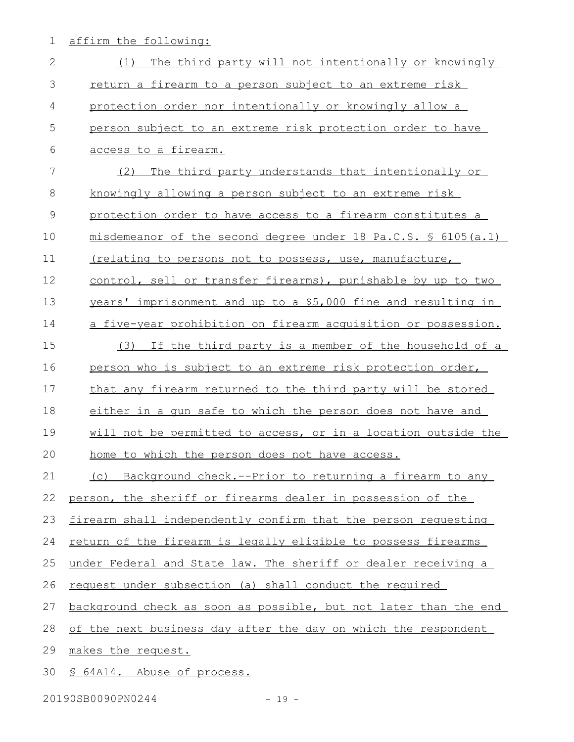1 affirm the following:

| $\mathbf{2}$ | The third party will not intentionally or knowingly<br>(1)       |
|--------------|------------------------------------------------------------------|
| 3            | return a firearm to a person subject to an extreme risk          |
| 4            | protection order nor intentionally or knowingly allow a          |
| 5            | person subject to an extreme risk protection order to have       |
| 6            | access to a firearm.                                             |
| 7            | (2)<br>The third party understands that intentionally or         |
| $\,8\,$      | knowingly allowing a person subject to an extreme risk           |
| $\mathsf 9$  | protection order to have access to a firearm constitutes a       |
| 10           | misdemeanor of the second degree under 18 Pa.C.S. \$ 6105(a.1)   |
| 11           | (relating to persons not to possess, use, manufacture,           |
| 12           | control, sell or transfer firearms), punishable by up to two     |
| 13           | years' imprisonment and up to a \$5,000 fine and resulting in    |
| 14           | a five-year prohibition on firearm acquisition or possession.    |
| 15           | If the third party is a member of the household of a<br>(3)      |
| 16           | person who is subject to an extreme risk protection order,       |
| 17           | that any firearm returned to the third party will be stored      |
| 18           | either in a gun safe to which the person does not have and       |
| 19           | will not be permitted to access, or in a location outside the    |
| 20           | home to which the person does not have access.                   |
| 21           | (c) Background check.--Prior to returning a firearm to any       |
| 22           | person, the sheriff or firearms dealer in possession of the      |
| 23           | firearm shall independently confirm that the person requesting   |
| 24           | return of the firearm is legally eligible to possess firearms    |
| 25           | under Federal and State law. The sheriff or dealer receiving a   |
| 26           | request under subsection (a) shall conduct the required          |
| 27           | background check as soon as possible, but not later than the end |
| 28           | of the next business day after the day on which the respondent   |
| 29           | makes the request.                                               |
| 30           | § 64A14. Abuse of process.                                       |

20190SB0090PN0244 - 19 -